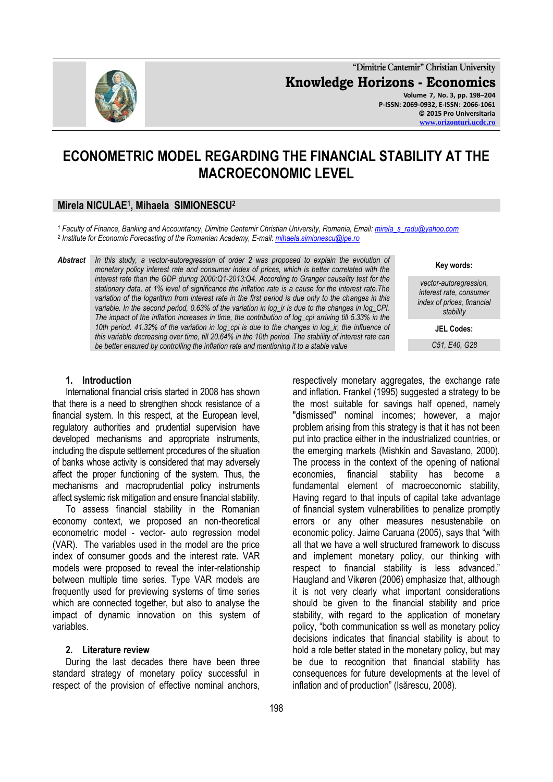

**"Dimitrie Cantemir" Christian University Knowledge Horizons - Economics Volume 7, No. 3, pp. 198–204 P-ISSN: 2069-0932, E-ISSN: 2066-1061 © 2015 Pro Universitaria**

**[www.orizonturi.ucdc.ro](http://www.orizonturi.ucdc.ro/)**

# **ECONOMETRIC MODEL REGARDING THE FINANCIAL STABILITY AT THE MACROECONOMIC LEVEL**

# **Mirela NICULAE<sup>1</sup> , Mihaela SIMIONESCU<sup>2</sup>**

*<sup>1</sup> Faculty of Finance, Banking and Accountancy, Dimitrie Cantemir Christian University, Romania, Email: [mirela\\_s\\_radu@yahoo.com](mailto:mirela_s_radu@yahoo.com) 2 Institute for Economic Forecasting of the Romanian Academy, E-mail[: mihaela.simionescu@ipe.ro](mailto:mihaela.simionescu@ipe.ro)*

*Abstract In this study, a vector-autoregression of order 2 was proposed to explain the evolution of monetary policy interest rate and consumer index of prices, which is better correlated with the interest rate than the GDP during 2000:Q1-2013:Q4. According to Granger causality test for the stationary data, at 1% level of significance the inflation rate is a cause for the interest rate.The variation of the logarithm from interest rate in the first period is due only to the changes in this variable. In the second period, 0.63% of the variation in log\_ir is due to the changes in log\_CPI. The impact of the inflation increases in time, the contribution of log\_cpi arriving till 5.33% in the 10th period. 41.32% of the variation in log\_cpi is due to the changes in log\_ir, the influence of this variable decreasing over time, till 20.64% in the 10th period. The stability of interest rate can be better ensured by controlling the inflation rate and mentioning it to a stable value*

#### **1. Introduction**

International financial crisis started in 2008 has shown that there is a need to strengthen shock resistance of a financial system. In this respect, at the European level, regulatory authorities and prudential supervision have developed mechanisms and appropriate instruments, including the dispute settlement procedures of the situation of banks whose activity is considered that may adversely affect the proper functioning of the system. Thus, the mechanisms and macroprudential policy instruments affect systemic risk mitigation and ensure financial stability.

To assess financial stability in the Romanian economy context, we proposed an non-theoretical econometric model - vector- auto regression model (VAR). The variables used in the model are the price index of consumer goods and the interest rate. VAR models were proposed to reveal the inter-relationship between multiple time series. Type VAR models are frequently used for previewing systems of time series which are connected together, but also to analyse the impact of dynamic innovation on this system of variables.

#### **2. Literature review**

During the last decades there have been three standard strategy of monetary policy successful in respect of the provision of effective nominal anchors,

respectively monetary aggregates, the exchange rate and inflation. Frankel (1995) suggested a strategy to be the most suitable for savings half opened, namely "dismissed" nominal incomes; however, a major problem arising from this strategy is that it has not been put into practice either in the industrialized countries, or the emerging markets (Mishkin and Savastano, 2000). The process in the context of the opening of national economies, financial stability has become a fundamental element of macroeconomic stability, Having regard to that inputs of capital take advantage of financial system vulnerabilities to penalize promptly errors or any other measures nesustenabile on economic policy. Jaime Caruana (2005), says that "with all that we have a well structured framework to discuss and implement monetary policy, our thinking with respect to financial stability is less advanced." Haugland and Vikøren (2006) emphasize that, although it is not very clearly what important considerations should be given to the financial stability and price stability, with regard to the application of monetary policy, "both communication ss well as monetary policy decisions indicates that financial stability is about to hold a role better stated in the monetary policy, but may be due to recognition that financial stability has consequences for future developments at the level of inflation and of production" (Isărescu, 2008).

#### **Key words:**

*vector-autoregression, interest rate, consumer index of prices, financial stability*

**JEL Codes:**

*C51, E40, G28*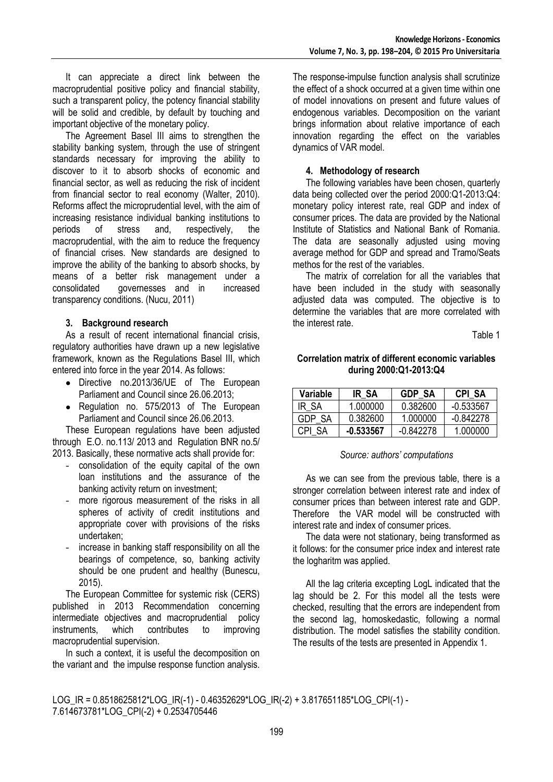It can appreciate a direct link between the macroprudential positive policy and financial stability, such a transparent policy, the potency financial stability will be solid and credible, by default by touching and important objective of the monetary policy.

The Agreement Basel III aims to strengthen the stability banking system, through the use of stringent standards necessary for improving the ability to discover to it to absorb shocks of economic and financial sector, as well as reducing the risk of incident from financial sector to real economy (Walter, 2010). Reforms affect the microprudential level, with the aim of increasing resistance individual banking institutions to periods of stress and, respectively, the macroprudential, with the aim to reduce the frequency of financial crises. New standards are designed to improve the ability of the banking to absorb shocks, by means of a better risk management under a consolidated governesses and in increased transparency conditions. (Nucu, 2011)

# **3. Background research**

As a result of recent international financial crisis, regulatory authorities have drawn up a new legislative framework, known as the Regulations Basel III, which entered into force in the year 2014. As follows:

- Directive no.2013/36/UE of The European Parliament and Council since 26.06.2013;
- Regulation no. 575/2013 of The European Parliament and Council since 26.06.2013.

These European regulations have been adjusted through E.O. no.113/ 2013 and Regulation BNR no.5/ 2013. Basically, these normative acts shall provide for:

- consolidation of the equity capital of the own loan institutions and the assurance of the banking activity return on investment;
- more rigorous measurement of the risks in all spheres of activity of credit institutions and appropriate cover with provisions of the risks undertaken;
- increase in banking staff responsibility on all the bearings of competence, so, banking activity should be one prudent and healthy (Bunescu, 2015).

The European Committee for systemic risk (CERS) published in 2013 Recommendation concerning intermediate objectives and macroprudential policy instruments, which contributes to improving macroprudential supervision.

In such a context, it is useful the decomposition on the variant and the impulse response function analysis.

The response-impulse function analysis shall scrutinize the effect of a shock occurred at a given time within one of model innovations on present and future values of endogenous variables. Decomposition on the variant brings information about relative importance of each innovation regarding the effect on the variables dynamics of VAR model.

# **4. Methodology of research**

The following variables have been chosen, quarterly data being collected over the period 2000:Q1-2013:Q4: monetary policy interest rate, real GDP and index of consumer prices. The data are provided by the National Institute of Statistics and National Bank of Romania. The data are seasonally adjusted using moving average method for GDP and spread and Tramo/Seats methos for the rest of the variables.

The matrix of correlation for all the variables that have been included in the study with seasonally adjusted data was computed. The objective is to determine the variables that are more correlated with the interest rate.

Table 1

## **Correlation matrix of different economic variables during 2000:Q1-2013:Q4**

| Variable | IR SA       | GDP SA      | <b>CPI SA</b> |
|----------|-------------|-------------|---------------|
| IR SA    | 1.000000    | 0.382600    | $-0.533567$   |
| GDP SA   | 0.382600    | 1 000000    | $-0.842278$   |
| CPI SA   | $-0.533567$ | $-0.842278$ | 1.000000      |

#### *Source: authors' computations*

As we can see from the previous table, there is a stronger correlation between interest rate and index of consumer prices than between interest rate and GDP. Therefore the VAR model will be constructed with interest rate and index of consumer prices.

The data were not stationary, being transformed as it follows: for the consumer price index and interest rate the logharitm was applied.

All the lag criteria excepting LogL indicated that the lag should be 2. For this model all the tests were checked, resulting that the errors are independent from the second lag, homoskedastic, following a normal distribution. The model satisfies the stability condition. The results of the tests are presented in Appendix 1.

LOG\_IR = 0.8518625812\*LOG\_IR(-1) - 0.46352629\*LOG\_IR(-2) + 3.817651185\*LOG\_CPI(-1) - 7.614673781\*LOG\_CPI(-2) + 0.2534705446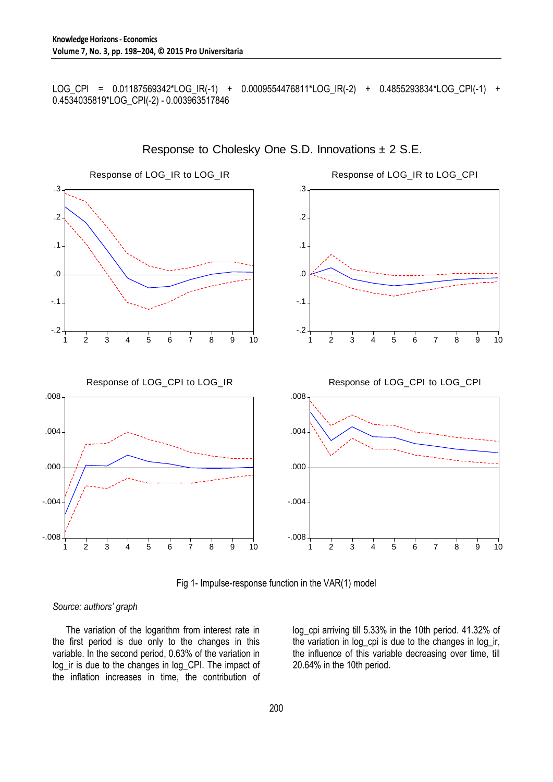LOG\_CPI = 0.01187569342\*LOG\_IR(-1) + 0.0009554476811\*LOG\_IR(-2) + 0.4855293834\*LOG\_CPI(-1) + 0.4534035819\*LOG\_CPI(-2) - 0.003963517846



Response to Cholesky One S.D. Innovations ± 2 S.E.

Fig 1- Impulse-response function in the VAR(1) model

#### *Source: authors' graph*

The variation of the logarithm from interest rate in the first period is due only to the changes in this variable. In the second period, 0.63% of the variation in log\_ir is due to the changes in log\_CPI. The impact of the inflation increases in time, the contribution of log\_cpi arriving till 5.33% in the 10th period. 41.32% of the variation in log\_cpi is due to the changes in log\_ir, the influence of this variable decreasing over time, till 20.64% in the 10th period.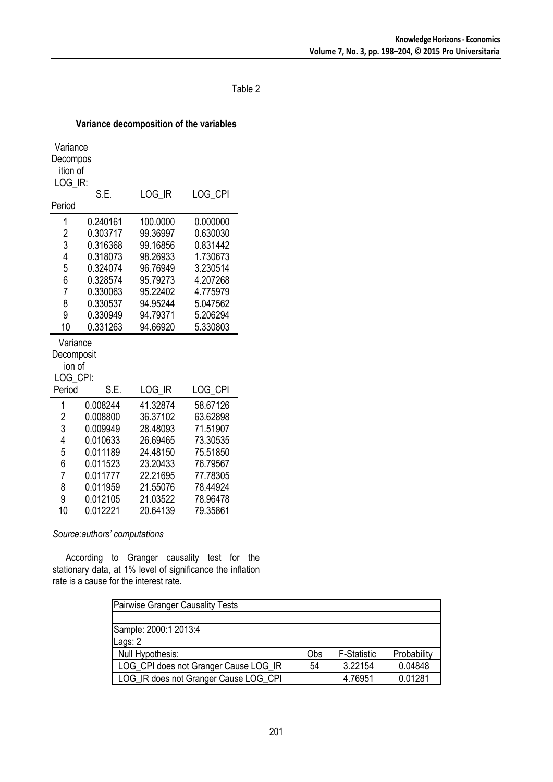## Table 2

## **Variance decomposition of the variables**

| Variance            |          |          |          |  |  |  |  |
|---------------------|----------|----------|----------|--|--|--|--|
| Decompos            |          |          |          |  |  |  |  |
| ition of<br>LOG IR: |          |          |          |  |  |  |  |
|                     | S.E.     | LOG IR   | LOG_CPI  |  |  |  |  |
| Period              |          |          |          |  |  |  |  |
| 1                   | 0.240161 | 100.0000 | 0.000000 |  |  |  |  |
| $\overline{2}$      | 0.303717 | 99.36997 | 0.630030 |  |  |  |  |
| 3                   | 0.316368 | 99.16856 | 0.831442 |  |  |  |  |
| 4                   | 0.318073 | 98.26933 | 1.730673 |  |  |  |  |
| 5                   | 0.324074 | 96.76949 | 3.230514 |  |  |  |  |
| 6                   | 0.328574 | 95.79273 | 4.207268 |  |  |  |  |
| $\overline{7}$      | 0.330063 | 95.22402 | 4.775979 |  |  |  |  |
| 8                   | 0.330537 | 94.95244 | 5.047562 |  |  |  |  |
| 9                   | 0.330949 | 94.79371 | 5.206294 |  |  |  |  |
| 10                  | 0.331263 | 94.66920 | 5.330803 |  |  |  |  |
| Variance            |          |          |          |  |  |  |  |
| Decomposit          |          |          |          |  |  |  |  |
| ion of              |          |          |          |  |  |  |  |
| LOG CPI:            |          |          |          |  |  |  |  |
| Period              | S.E.     | LOG IR   | LOG CPI  |  |  |  |  |
| 1                   | 0.008244 | 41.32874 | 58.67126 |  |  |  |  |
| $\overline{c}$      | 0.008800 | 36.37102 | 63.62898 |  |  |  |  |
| 3                   | 0.009949 | 28.48093 | 71.51907 |  |  |  |  |
| 4                   | 0.010633 | 26.69465 | 73.30535 |  |  |  |  |
| 5                   | 0.011189 | 24.48150 | 75.51850 |  |  |  |  |
| 6                   | 0.011523 | 23.20433 | 76.79567 |  |  |  |  |
| 7                   | 0.011777 | 22.21695 | 77.78305 |  |  |  |  |
| 8                   | 0.011959 | 21.55076 | 78.44924 |  |  |  |  |
| 9                   | 0.012105 | 21.03522 | 78.96478 |  |  |  |  |
| 10                  | 0.012221 | 20.64139 | 79.35861 |  |  |  |  |

*Source:authors' computations*

According to Granger causality test for the stationary data, at 1% level of significance the inflation rate is a cause for the interest rate.

| <b>Pairwise Granger Causality Tests</b> |     |                    |             |  |  |  |
|-----------------------------------------|-----|--------------------|-------------|--|--|--|
|                                         |     |                    |             |  |  |  |
| Sample: 2000:1 2013:4                   |     |                    |             |  |  |  |
| Lags: 2                                 |     |                    |             |  |  |  |
| Null Hypothesis:                        | Obs | <b>F-Statistic</b> | Probability |  |  |  |
| LOG_CPI does not Granger Cause LOG_IR   | 54  | 3.22154            | 0.04848     |  |  |  |
| LOG_IR does not Granger Cause LOG_CPI   |     | 4.76951            | 0.01281     |  |  |  |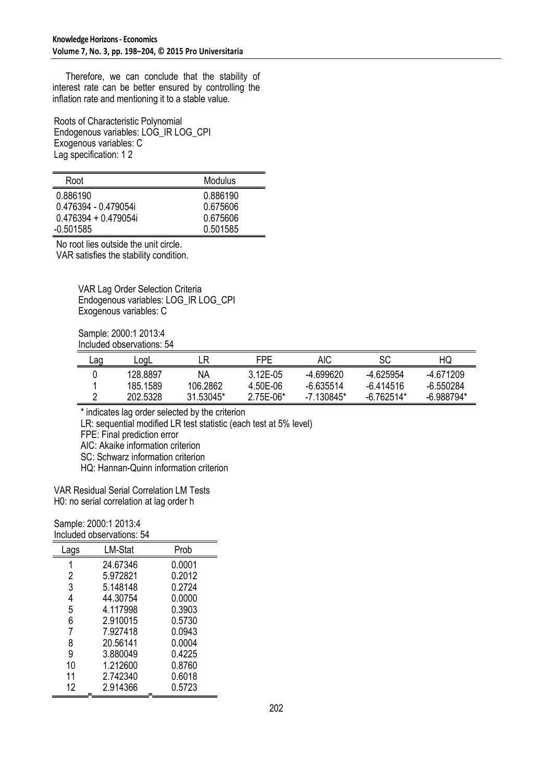Therefore, we can conclude that the stability of interest rate can be better ensured by controlling the inflation rate and mentioning it to a stable value.

Roots of Characteristic Polynomial Endogenous variables: LOG\_IR LOG\_CPI Exogenous variables: C Lag specification: 1 2

| Root                 | Modulus  |
|----------------------|----------|
| 0.886190             | 0.886190 |
| 0.476394 - 0.479054i | 0.675606 |
| 0.476394 + 0.479054i | 0.675606 |
| $-0.501585$          | 0.501585 |

No root lies outside the unit circle. VAR satisfies the stability condition.

> VAR Lag Order Selection Criteria Endogenous variables: LOG\_IR LOG\_CPI Exogenous variables: C

Sample: 2000:1 2013:4 Included observations: 54

| Lag | LoaL     | к         | FPF         | <b>AIC</b>  | SC          | ΗQ           |
|-----|----------|-----------|-------------|-------------|-------------|--------------|
|     | 128.8897 | ΝA        | $312F-05$   | -4.699620   | -4 625954   | -4.671209    |
|     | 185.1589 | 106.2862  | 4.50E-06    | $-6.635514$ | $-6.414516$ | -6.550284    |
|     | 202.5328 | 31 53045* | $2.75E-06*$ | $-7130845*$ | -6 762514*  | $-6.988794*$ |

\* indicates lag order selected by the criterion

LR: sequential modified LR test statistic (each test at 5% level)

FPE: Final prediction error

AIC: Akaike information criterion

SC: Schwarz information criterion

HQ: Hannan-Quinn information criterion

VAR Residual Serial Correlation LM Tests H0: no serial correlation at lag order h

Sample: 2000:1 2013:4 Included observations: 54

| LM-Stat  | Prob   |
|----------|--------|
| 24.67346 | 0.0001 |
| 5.972821 | 0.2012 |
| 5.148148 | 0.2724 |
| 44.30754 | 0.0000 |
| 4.117998 | 0.3903 |
| 2.910015 | 0.5730 |
| 7.927418 | 0.0943 |
| 20.56141 | 0.0004 |
| 3.880049 | 0.4225 |
| 1.212600 | 0.8760 |
| 2.742340 | 0.6018 |
| 2.914366 | 0.5723 |
|          |        |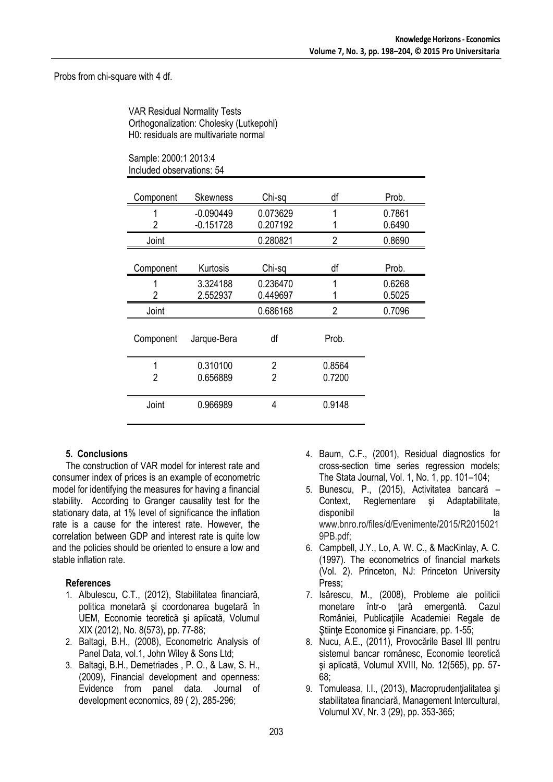### Probs from chi-square with 4 df.

VAR Residual Normality Tests Orthogonalization: Cholesky (Lutkepohl) H0: residuals are multivariate normal

| Sample: 2000:1 2013:4     |  |
|---------------------------|--|
| Included observations: 54 |  |

| Component | Skewness                   | Chi-sq               | df             | Prob.            |
|-----------|----------------------------|----------------------|----------------|------------------|
| 2         | $-0.090449$<br>$-0.151728$ | 0.073629<br>0.207192 |                | 0.7861<br>0.6490 |
| Joint     |                            | 0.280821             | $\overline{2}$ | 0.8690           |
| Component | Kurtosis                   | Chi-sq               | df             | Prob.            |
| 2         | 3.324188<br>2.552937       | 0.236470<br>0.449697 | 1              | 0.6268<br>0.5025 |
| Joint     |                            | 0.686168             | 2              | 0.7096           |
| Component | Jarque-Bera                | df                   | Prob.          |                  |
|           | 0.310100                   | $\overline{2}$       | 0.8564         |                  |
| 2         | 0.656889                   | 2                    | 0.7200         |                  |
| Joint     | 0.966989                   | 4                    | 0.9148         |                  |

# **5. Conclusions**

The construction of VAR model for interest rate and consumer index of prices is an example of econometric model for identifying the measures for having a financial stability. According to Granger causality test for the stationary data, at 1% level of significance the inflation rate is a cause for the interest rate. However, the correlation between GDP and interest rate is quite low and the policies should be oriented to ensure a low and stable inflation rate.

# **References**

- 1. Albulescu, C.T., (2012), Stabilitatea financiară, politica monetară şi coordonarea bugetară în UEM, Economie teoretică şi aplicată, Volumul XIX (2012), No. 8(573), pp. 77-88;
- 2. Baltagi, B.H., (2008), Econometric Analysis of Panel Data, vol.1, John Wiley & Sons Ltd;
- 3. Baltagi, B.H., Demetriades , P. O., & Law, S. H., (2009), Financial development and openness: Evidence from panel data. Journal of development economics, 89 ( 2), 285-296;
- 4. Baum, C.F., (2001), Residual diagnostics for cross-section time series regression models; The Stata Journal, Vol. 1, No. 1, pp. 101–104;
- 5. Bunescu, P., (2015), Activitatea bancară Context, Reglementare şi Adaptabilitate, disponibil la www.bnro.ro/files/d/Evenimente/2015/R2015021 9PB.pdf;
- 6. Campbell, J.Y., Lo, A. W. C., & MacKinlay, A. C. (1997). The econometrics of financial markets (Vol. 2). Princeton, NJ: Princeton University Press;
- 7. Isărescu, M., (2008), Probleme ale politicii monetare într-o țară emergentă. Cazul României, Publicațiile Academiei Regale de Ştiinţe Economice şi Financiare, pp. 1-55;
- 8. Nucu, A.E., (2011), Provocările Basel III pentru sistemul bancar românesc, Economie teoretică şi aplicată, Volumul XVIII, No. 12(565), pp. 57- 68;
- 9. Tomuleasa, I.I., (2013), Macroprudenţialitatea şi stabilitatea financiară, Management Intercultural, Volumul XV, Nr. 3 (29), pp. 353-365;